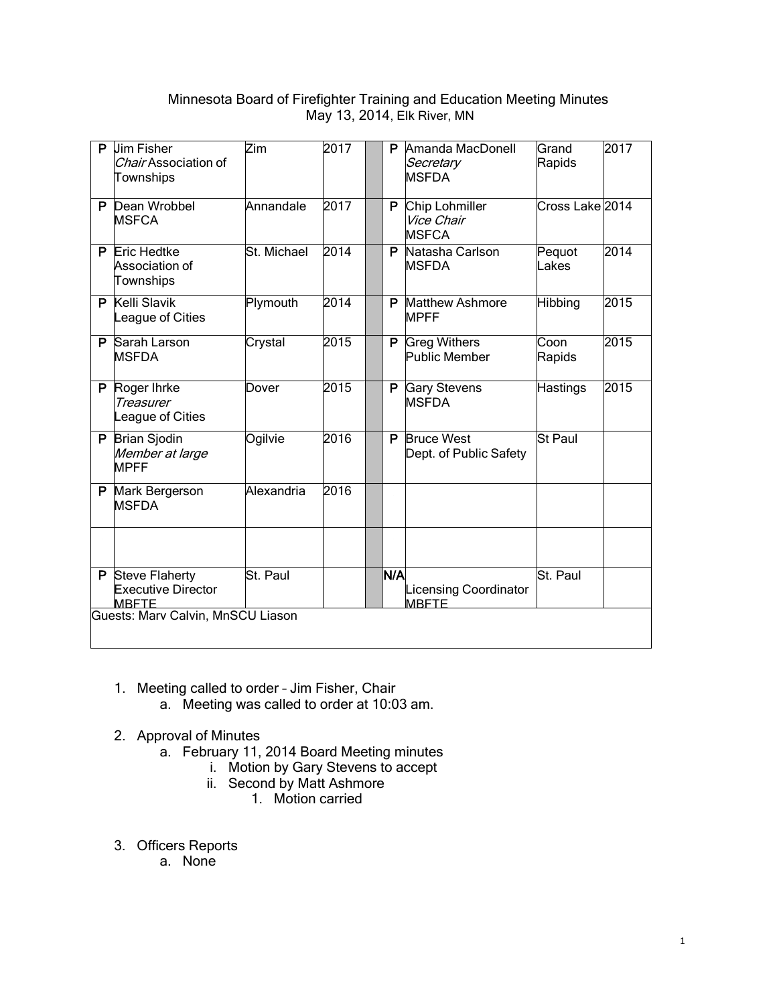# Minnesota Board of Firefighter Training and Education Meeting Minutes May 13, 2014, Elk River, MN

|                                   | P Jim Fisher<br>Chair Association of<br>Townships                    | Zim         | 2017 |  | P   | Amanda MacDonell<br>Secretary<br><b>MSFDA</b> | Grand<br>Rapids | 2017 |
|-----------------------------------|----------------------------------------------------------------------|-------------|------|--|-----|-----------------------------------------------|-----------------|------|
|                                   | P Dean Wrobbel<br><b>MSFCA</b>                                       | Annandale   | 2017 |  | P.  | Chip Lohmiller<br>Vice Chair<br><b>MSFCA</b>  | Cross Lake 2014 |      |
|                                   | <b>P</b> Eric Hedtke<br>Association of<br>Townships                  | St. Michael | 2014 |  | P   | Natasha Carlson<br><b>MSFDA</b>               | Pequot<br>Lakes | 2014 |
|                                   | P Kelli Slavik<br>League of Cities                                   | Plymouth    | 2014 |  | P   | <b>Matthew Ashmore</b><br><b>MPFF</b>         | <b>Hibbing</b>  | 2015 |
|                                   | P Sarah Larson<br><b>IMSFDA</b>                                      | Crystal     | 2015 |  | P.  | <b>Greg Withers</b><br>Public Member          | Coon<br>Rapids  | 2015 |
|                                   | P Roger Ihrke<br><b>Treasurer</b><br>League of Cities                | Dover       | 2015 |  | P.  | <b>Gary Stevens</b><br><b>MSFDA</b>           | <b>Hastings</b> | 2015 |
|                                   | P Brian Sjodin<br>Member at large<br><b>MPFF</b>                     | Ogilvie     | 2016 |  | P   | <b>Bruce West</b><br>Dept. of Public Safety   | <b>St Paul</b>  |      |
|                                   | P Mark Bergerson<br><b>MSFDA</b>                                     | Alexandria  | 2016 |  |     |                                               |                 |      |
|                                   |                                                                      |             |      |  |     |                                               |                 |      |
|                                   | <b>P</b> Steve Flaherty<br><b>Executive Director</b><br><b>MBFTF</b> | St. Paul    |      |  | N/A | <b>Licensing Coordinator</b><br><b>MBFTE</b>  | St. Paul        |      |
| Guests: Marv Calvin, MnSCU Liason |                                                                      |             |      |  |     |                                               |                 |      |

- 1. Meeting called to order Jim Fisher, Chair a. Meeting was called to order at 10:03 am.
	-
- 2. Approval of Minutes
	- a. February 11, 2014 Board Meeting minutes
		- i. Motion by Gary Stevens to accept
		- ii. Second by Matt Ashmore
			- 1. Motion carried
- 3. Officers Reports
	- a. None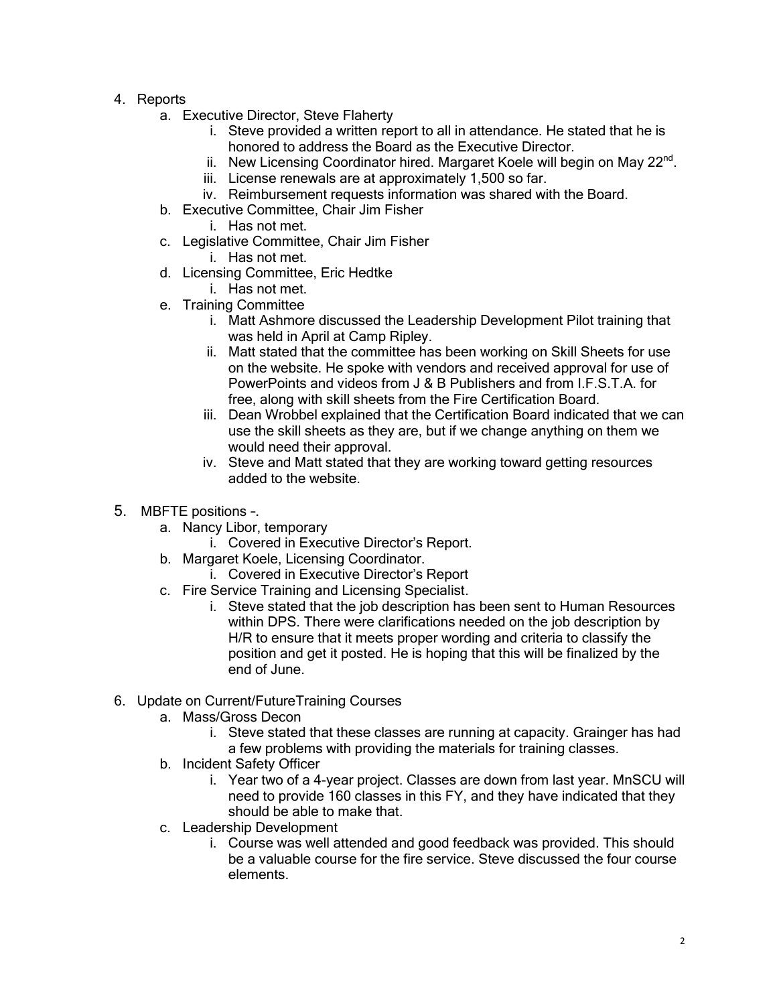- 4. Reports
	- a. Executive Director, Steve Flaherty
		- i. Steve provided a written report to all in attendance. He stated that he is honored to address the Board as the Executive Director.
		- ii. New Licensing Coordinator hired. Margaret Koele will begin on May  $22^{nd}$ .
		- iii. License renewals are at approximately 1,500 so far.
		- iv. Reimbursement requests information was shared with the Board.
	- b. Executive Committee, Chair Jim Fisher
		- i. Has not met.
	- c. Legislative Committee, Chair Jim Fisher
		- i. Has not met.
	- d. Licensing Committee, Eric Hedtke
		- i. Has not met.
	- e. Training Committee
		- i. Matt Ashmore discussed the Leadership Development Pilot training that was held in April at Camp Ripley.
		- ii. Matt stated that the committee has been working on Skill Sheets for use on the website. He spoke with vendors and received approval for use of PowerPoints and videos from J & B Publishers and from I.F.S.T.A. for free, along with skill sheets from the Fire Certification Board.
		- iii. Dean Wrobbel explained that the Certification Board indicated that we can use the skill sheets as they are, but if we change anything on them we would need their approval.
		- iv. Steve and Matt stated that they are working toward getting resources added to the website.
- 5. MBFTE positions –.
	- a. Nancy Libor, temporary
		- i. Covered in Executive Director's Report.
	- b. Margaret Koele, Licensing Coordinator.
		- i. Covered in Executive Director's Report
	- c. Fire Service Training and Licensing Specialist.
		- i. Steve stated that the job description has been sent to Human Resources within DPS. There were clarifications needed on the job description by H/R to ensure that it meets proper wording and criteria to classify the position and get it posted. He is hoping that this will be finalized by the end of June.
- 6. Update on Current/FutureTraining Courses
	- a. Mass/Gross Decon
		- i. Steve stated that these classes are running at capacity. Grainger has had a few problems with providing the materials for training classes.
	- b. Incident Safety Officer
		- i. Year two of a 4-year project. Classes are down from last year. MnSCU will need to provide 160 classes in this FY, and they have indicated that they should be able to make that.
	- c. Leadership Development
		- i. Course was well attended and good feedback was provided. This should be a valuable course for the fire service. Steve discussed the four course elements.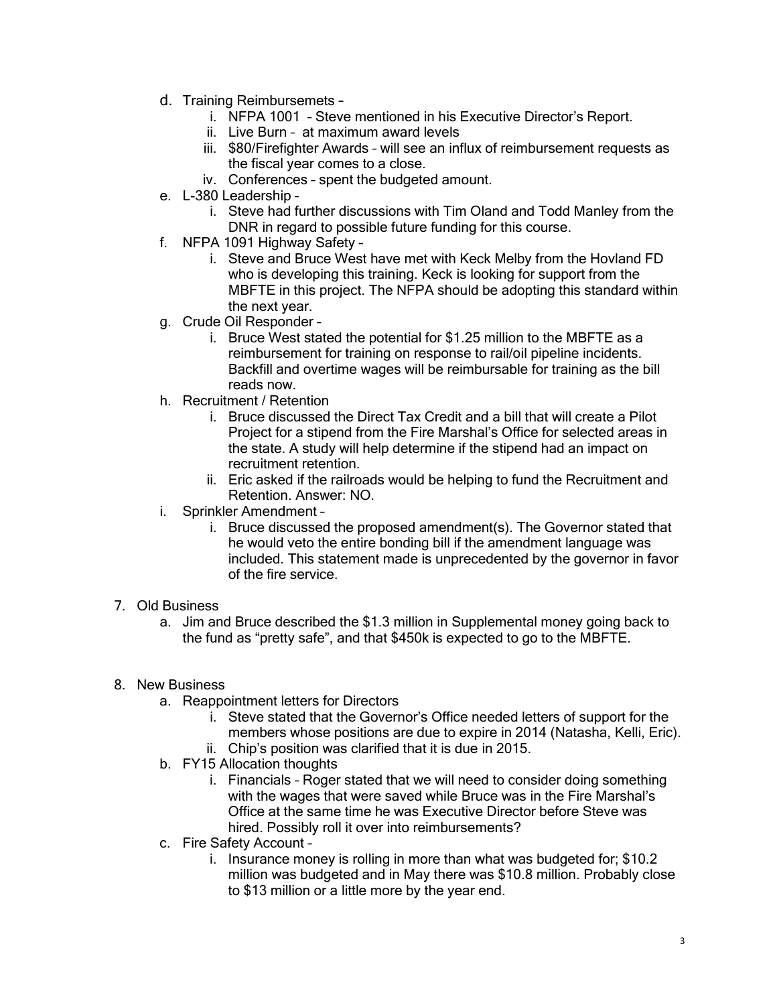- d. Training Reimbursemets
	- i. NFPA 1001 Steve mentioned in his Executive Director's Report.
	- ii. Live Burn at maximum award levels
	- iii. \$80/Firefighter Awards will see an influx of reimbursement requests as the fiscal year comes to a close.
	- iv. Conferences spent the budgeted amount.
- e. L-380 Leadership
	- i. Steve had further discussions with Tim Oland and Todd Manley from the DNR in regard to possible future funding for this course.
- f. NFPA 1091 Highway Safety
	- i. Steve and Bruce West have met with Keck Melby from the Hovland FD who is developing this training. Keck is looking for support from the MBFTE in this project. The NFPA should be adopting this standard within the next year.
- g. Crude Oil Responder
	- i. Bruce West stated the potential for \$1.25 million to the MBFTE as a reimbursement for training on response to rail/oil pipeline incidents. Backfill and overtime wages will be reimbursable for training as the bill reads now.
- h. Recruitment / Retention
	- i. Bruce discussed the Direct Tax Credit and a bill that will create a Pilot Project for a stipend from the Fire Marshal's Office for selected areas in the state. A study will help determine if the stipend had an impact on recruitment retention.
	- ii. Eric asked if the railroads would be helping to fund the Recruitment and Retention. Answer: NO.
- i. Sprinkler Amendment
	- i. Bruce discussed the proposed amendment(s). The Governor stated that he would veto the entire bonding bill if the amendment language was included. This statement made is unprecedented by the governor in favor of the fire service.

# 7. Old Business

a. Jim and Bruce described the \$1.3 million in Supplemental money going back to the fund as "pretty safe", and that \$450k is expected to go to the MBFTE.

# 8. New Business

- a. Reappointment letters for Directors
	- i. Steve stated that the Governor's Office needed letters of support for the members whose positions are due to expire in 2014 (Natasha, Kelli, Eric).
	- ii. Chip's position was clarified that it is due in 2015.
- b. FY15 Allocation thoughts
	- i. Financials Roger stated that we will need to consider doing something with the wages that were saved while Bruce was in the Fire Marshal's Office at the same time he was Executive Director before Steve was hired. Possibly roll it over into reimbursements?
- c. Fire Safety Account
	- i. Insurance money is rolling in more than what was budgeted for; \$10.2 million was budgeted and in May there was \$10.8 million. Probably close to \$13 million or a little more by the year end.